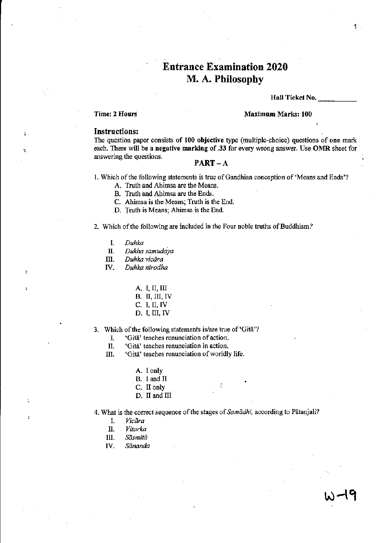# Entrance Examination 2020 M. A. Philosophy

#### Hall Ticket No.

1

# Time: 2 Hours Maximum Marks: 100

# Instructions:

The question paper consists of 100 objective type (multiple-choice) questions of one mark each. There will be a negative marking of .33 for every wrong answer. Use OMR sheet for answering the questions.  $\mathbf{PART-A}$ 

1. Which of the following statements is true of Gandhian conception of 'Means and Ends'?

- A. Truth and Ahimsa are the Means.
- B. Truth and Ahimsa are the Ends.
- C. Ahimsa is the Means; Truth is the End.
- D. Truth is Means; Ahimsa is the End.

2. Which of the following are included in the Four noble truths of Buddhism?

- 1. *Duhka*
- *II. Dukha samudaya*
- III. *Duhka vicāra*
- IV. *Duhka nirodha* 
	- A. I, II, III B. II, III, IV
	- C. I, II, IV
	- D. I, III, IV

3. Which of the following statements is/are true of 'Gita'?

1. 'Gita' teaches renunciation of action.

- II. 'Gita' teaches renunciation in action.
- III. 'Gita' teaches renunciation of worldly life.
	- A. I only
	- B. I and II
	- C. II only
	- D. II and III
- 4. What is the correct sequence of the stages of *Samadhi*, according to Patanjali?
	- I. *Vicara*
	-
	- n. *Vitarka*  III. *Sasmita*
	- IV. *Sananda*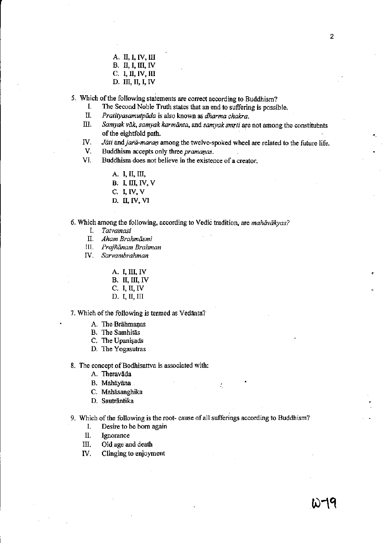A. II, I, IV, III

B. II, I, III, IV

- C. I, II, IV, III
- D. III, II, I, IV

5. Which of the following statements are correct according to Buddhism?<br>I. The Second Noble Truth states that an end to suffering is possi-

- I. The Second Noble Truth states that an end to suffering is possible.<br>II. Pratityasamutpāda is also known as *dharma chakra*.
- *II. Pratityasamutpada* is also known as *dharma chakra.*
- Samyak väk, samyak karmänta, and samyak smrti are not among the constituents of the eightfold path.
- IV. *Jāti* and *jarā-maran* among the twelve-spoked wheel are related to the future life.<br>V. Buddhism accents only three *pramanas*.

Buddhism accepts only three *pramanas*.

VI. Buddhism does not believe in the existence of a creator.

- A. **I,** II, III,
- B. I, III, IV, V
- C. I, IV, V
- D. II, IV, VI

6. Which among the following, according to Vedic tradition, are *mahiiviikyas?* 

- I. *Tatvamasi*
- n. *Aham Brahmasmi*
- III. *Prajñānam Brahman*
- IV. *Sarvambrahman* 
	- A. I, III, IV
	- B. II, III, IV
	- C. J, II, IV
	- D. I, II, III

7. Which of the following is termed as Vedanta?

- A. The Brähmanas
- B. The Samhitas
- C. The Upanisads
- D. The Yogasutras

8. The concept of Bodhisattva is associated with:

- A. Theravāda
- B. Mahayana
- C. Mahāsanghika
- D. Sauträntika

9. Which of the following is the root- cause of all sufferings according to Buddhism?

÷.

- I. Desire to be born again
- II. Ignorance
- III. Old age and death
- IV. Clinging to enjoyment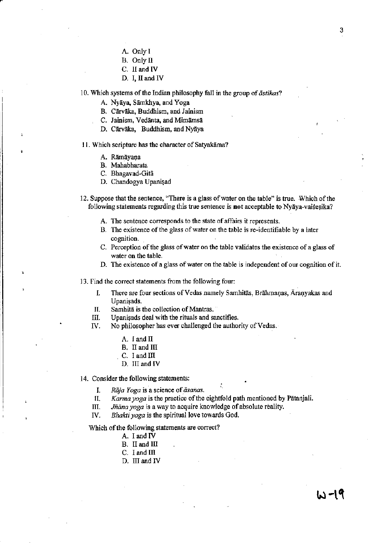- A.Onlyl
- B. Only II
- C. II and IV
- D. I, II and IV

10. Which systems of the Indian philosophy fall in the group of *astikas?* 

A. Nyāya, Sāmkhya, and Yoga

B. Cārvāka, Buddhism, and Jainism

- C. Jainism, Vedānta, and Mimāmsā
- D. Cārvāka, Buddhism, and Nyāya

11. Which scripture has the character of Satyakāma?

- A. Rāmāyaņa
- B. Mahabharata
- C. Bhagavad~Gita
- D. Chandogya Upanişad

12. Suppose that the sentence, "There is a glass of water on the table" is true. Which of the following statements regarding this true sentence is **not** acceptable to Nyaya-vaises ika?

- A. The sentence corresponds to the state of affairs it represents.
- B. The existence of the glass of water on the table is re-identifiable by a later cognition.
- C. Perception of the glass afwater on the table validates the existence of a glass of water on the table,
- D. The existence of a glass of water on the table is independent of our cognition of it.

13. Find the correct statements from the following four:

- I. There are four sections of Vedas namely Samhitas, Brahmanas, Āraņyakas and Upanisads.
- II. Samhita is the collection of Mantras.
- III. Upanisads deal with the rituals and sanctifies.
- IV. No philosopher has ever challenged the authority of Vedas.
	- A.  $I$  and  $II$
	- B. II and III
	- C. I and III
	- D. III and IV

14. Consider the following statements:

*I. Rāja Yoga is a science of āsanas.* 

II. *Karma yoga* is the practice of the eightfold path mentioned by Pātanjali.

III. *Jñāna yoga* is a way to acquire knowledge of absolute reality.

IV. *Bhakti yoga* is the spiritual love towards God.

Which of the following statements are correct?

- A. I and IV
- B. II and III
- $C.$  I and  $III$
- D. III and IV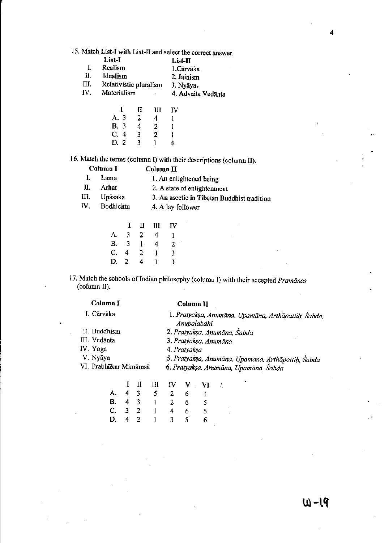15. Match List-I with List-II and select the correct answer.

|       | List-T                                                                                                                                                                                                                                                                                                           | List-II    |
|-------|------------------------------------------------------------------------------------------------------------------------------------------------------------------------------------------------------------------------------------------------------------------------------------------------------------------|------------|
| -1. - | Realism                                                                                                                                                                                                                                                                                                          | 1.Cārvāka  |
| Ш.    | Idealism                                                                                                                                                                                                                                                                                                         | 2. Jainism |
| пт    | $D_{\alpha}$ ) and in the set of $L_{\alpha}$ and $L_{\alpha}$ and $L_{\alpha}$ and $L_{\alpha}$ and $L_{\alpha}$ and $L_{\alpha}$ and $L_{\alpha}$ and $L_{\alpha}$ and $L_{\alpha}$ and $L_{\alpha}$ and $L_{\alpha}$ and $L_{\alpha}$ and $L_{\alpha}$ and $L_{\alpha}$ and $L_{\alpha}$ and $L_{\alpha}$ and |            |

III. Relativistic pluralism 3. Nyãya.<br>IV. Materialism 4. Advaita 1. Materialism 4. Advaita Vedanta

|             | Τ | Н  | Ш | ΙV |
|-------------|---|----|---|----|
| A. 3        |   | 2  | 4 | L  |
| <b>B.</b> 3 |   | 4  | 2 | 1  |
| C.4         |   | 3  | 2 | 1  |
| D. 2        |   | -3 | L | 4  |

16. Match the terms (column I) with their descriptions (column II).

|     | Column I   | Column II                                   |
|-----|------------|---------------------------------------------|
| L.  | Lama       | 1. An enlightened being                     |
| П.  | Arhat      | 2. A state of enlightenment                 |
| Ш.  | Upāsaka    | 3. An ascetic in Tibetan Buddhist tradition |
| IV. | Bodhicitta | 4. A lay follower                           |

|             | Т. | П | m | ΓV |
|-------------|----|---|---|----|
| А.          | 3  | 2 | 4 | 1  |
| <b>B.</b>   | 3  | 1 | 4 | 2  |
| $C_{\star}$ | 4  | 2 | ł | 3  |
| D.          | -2 | 4 | 1 | 3  |

17. Match the schools of Indian philosophy (column I) with their accepted *Pramanas* (column II).

| Column I              | Column II                                                          |
|-----------------------|--------------------------------------------------------------------|
| I. Cārvāka            | 1. Pratyakşa, Anumāna, Upamāna, Arthāpattih, Sabda,<br>Anupalabdhi |
| II. Buddhism          | 2. Pratyaksa, Anumāna, Śabda                                       |
| III. Vedānta          | ٠<br>3. Pratyaksa, Anumāna                                         |
| IV. Yoga              | 4. Pratyaksa                                                       |
| V. Nyãya              | 5. Pratyaksa, Anumāna, Upamāna, Arthāpattih, Sabda                 |
| VI. Prabhākar Mimāmsā | 6. Pratyaksa, Anumāna, Upamāna, Śabda                              |

|  |                |                |                | I II III IV V VI | ť |
|--|----------------|----------------|----------------|------------------|---|
|  | A. 4 3 5 2 6   |                |                |                  |   |
|  | B. 4 3 1 2 6 5 |                |                |                  |   |
|  | C. 3 2 1       | $\overline{4}$ | $-6$           | 5                |   |
|  | D. 4 2 1 3     |                | 5 <sup>5</sup> | 6                |   |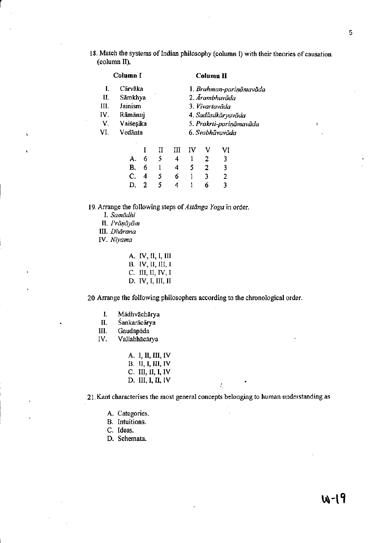18. Match the systems of Indian philosophy (column I) with their theories of causation (column II).

|      | Column I  |  | <b>Column II</b> |                         |  |
|------|-----------|--|------------------|-------------------------|--|
| L    | Cārvāka   |  |                  | 1. Brahman-pariņāmavāda |  |
| П.   | Sāmkhya   |  |                  | 2. Ārambhavāda          |  |
| III. | Jainism   |  | 3. Vivartavāda   |                         |  |
| IV.  | Rāmānuj   |  |                  | 4. Sadāsdkāryavāda      |  |
| V.   | Vaiśesika |  |                  | 5. Prakrti-pariņāmavāda |  |
| VI.  | Vedānta   |  |                  | 6. Svabhāvavāda         |  |
|      |           |  |                  |                         |  |

|  |  | . .                                                              |
|--|--|------------------------------------------------------------------|
|  |  |                                                                  |
|  |  | $\overline{3}$                                                   |
|  |  | $\overline{2}$                                                   |
|  |  |                                                                  |
|  |  | A. 6 5 4 1 2 3<br>B. 6 1 4 5 2<br>C. 4 5 6 1 3<br>D. 2 5 4 1 6 3 |

19. Arrange the following steps of *A\$tanga Yaga* in order.

- *I. Samiidhi*
- II. Prāņāyām
- m. *Dharana*

r

IV. *Niyama* 

A. IV, II, I, III B. IV, II, Ill, 1 C. III, II, IV, I D. IV, I, III, II

20. Arrange the following philosophers according to the chronological order.

- 1. Mādhvāchārya<br>II. Śankarācārva
- Sankaracarya
- III. Gaudapāda<br>IV. Vallabhācār
- Vallabhācārya

| A. I, II, III, IV |
|-------------------|
| B. II, I, III, IV |
| C. III, II, I, IV |
| D. III, I, II, IV |

21. Kant characterises the most general concepts belonging to human understanding as

÷.

- A. Categories.
- B. Intuitions.
- C. Ideas.
- D. Schemata.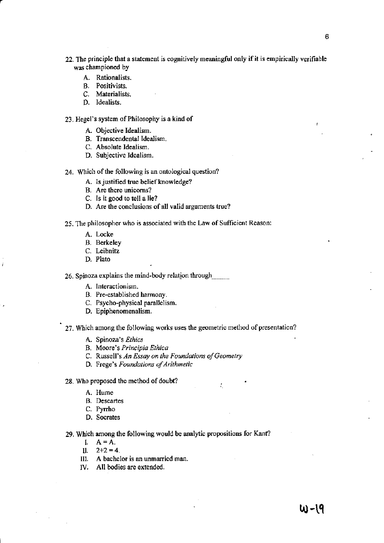- 22. The principle that a statement is cognitively meaningful only if it is empirically verifiable was championed by
	- A. Rationalists.

r

- B. Positivists.
- C. Materialists.
- D. Idealists.

# 23. Hegel's system of Philosophy is a kind of

- A. Objective Idealism.
- B. Transcendental Idealism.
- C. Absolute Idealism.
- D. Subjective Idealism.

# 24. Which of the following is an ontological question?

- A. Is justified true belief knowledge?
- B. Are there unicorns?
- C. Is it good to tell a lie?
- D. Are the conclusions of all valid arguments true?

# 25. The philosopher who is associated with the Law of Sufficient Reason:

- A. Locke
- B. Berkeley
- C. Leibnitz
- D. Plato

26. Spinoza explains the mind-body relation through \_\_

- A. Interactionism.
- B. Pre-established harmony.
- C. Psycho-physical parallelism.
- D. Epiphenomenalism.

# 27. Which among the following works uses the geometric method of presentation?

- A. Spinoza's *Ethics*
- B. Moore's *Principia Ethica*
- C. Russell's *An Essay on the Foundations of Geometry*
- D. Frege's *Foundations of Arithmetic*

### 28. Who proposed the method of doubt?

- A. Hume
- B. Descartes
- C. Pyrrho
- D. Socrates

### 29. Which among the following would be analytic propositions for Kant?

- $I. A = A.$
- II.  $2+2=4$ .
- III. A bachelor is an unmarried man.
- IV. All bodies are extended.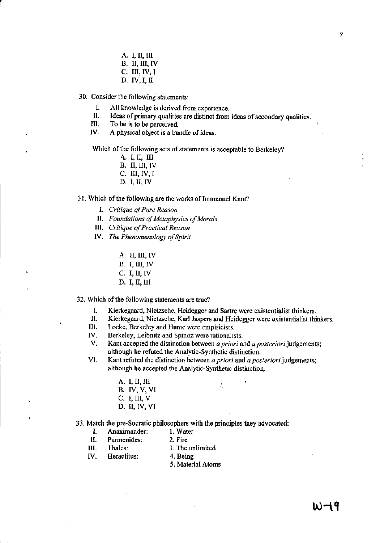A. I, II, III

r

- B. II, III, IV
- $C.$  III, IV, I
- D. IV, I, II

30. Consider the following statements:

- I. All knowledge is derived from experience.<br>II. Ideas of primary qualities are distinct from
- II. Ideas of primary qualities are distinct from ideas of secondary qualities.<br>III. To be is to be perceived
- III. To be is to be perceived.<br>IV. A physical object is a bur
- A physical object is a bundle of ideas.

Which of the following sets of statements is acceptable to Berkeley?

- A. I, II, III
- B. II, III, IV
- C. III,IV,1
- D. I, II, IV

# 31. Which of the following are the works of Immanuel Kant?

- 1. *Critique of Pure Reason*
- II. *Foundations of Metaphysics a/Morals*
- III. *Critique of Practical Reason*
- lV. *The Phenomenology a/Spirit*

A. II, III, IV

- B. I, III, IV
- C. I, II, IV
- D. I, II, III

32. Which of the following statements are true?

- I. Kierkegaard, Nietzsche, Heidegger and Sartre were existentialist thinkers.
- 11. Kierkegaard, Nietzsche, Karl Jaspers and Heidegger were existentialist thinkers.
- Locke, Berkeley and Hume were empiricists.
- IV. Berkeley, Leibnitz and Spinoz were rationalists.
- V. Kant accepted the distinction between *a priori* and *a posteriori* judgements; although he refuted the Analytic-Synthetic distinction.
- VI. Kant refuted the distinction between *a priori* and *a posteriori* judgements; although he accepted the Analytic-Synthetic distinction.
	- A. I, II, III B. IV, V, VI C. I, III, V D. II, IV, VI

# 33. Match the pre-Socratic philosophers with the principles they advocated:

- I. Anaximander: I, Water
- II. Parmenides: 2. Fire
- III. Thales: 3. The unlimited
- IV. Heraclitus: 4. Being
	- 5. Material Atoms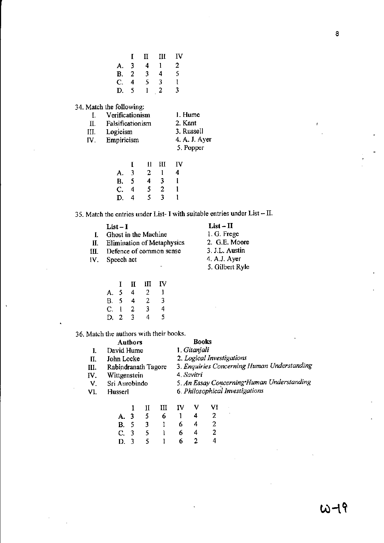|             | Т              | п | Ш | IV |
|-------------|----------------|---|---|----|
| А.          | 3              | 4 | 1 | 2  |
| <b>B.</b>   | $\overline{c}$ | 3 | 4 | 5  |
| $C_{\cdot}$ | 4              | 5 | 3 | Ŧ  |
| D.          | 5              | 1 | 2 | 3  |

34. Match the following:

| Ł.                   | Verificationism  | 1. Hume       |
|----------------------|------------------|---------------|
| H.                   | Falsificationism | 2. Kant       |
| III.                 | Logicism         | 3. Russell    |
| $\mathbf{N}_{\cdot}$ | Empiricism       | 4. A. J. Ayer |
|                      |                  | 5. Popper     |
|                      |                  |               |

|             |   |              | 11 HI        | Iν |
|-------------|---|--------------|--------------|----|
| А.          | 3 | $\mathbf{2}$ | $\mathbf{1}$ | 4  |
| <b>B.</b> 5 |   | 4            | 3            |    |
| $C_{\cdot}$ | 4 | 5            | 2            |    |
| D.          | 4 | 5.           | 3            |    |

35. Match the entries under List- I with suitable entries under List - II.

|     | List – I                          | $List - II$     |
|-----|-----------------------------------|-----------------|
|     | Ghost in the Machine              | 1. G. Frege     |
| II. | <b>Elimination of Metaphysics</b> | 2. G.E. Moore   |
| IΠ. | Defence of common sense           | 3. J.L. Austin  |
|     | IV. Speech act                    | 4. A.J. Ayer    |
|     |                                   | 5. Gilbert Ryle |

|           | I  | П | Ш | ΓV |
|-----------|----|---|---|----|
| А.        | 5  | 4 | 2 | 1  |
| <b>B.</b> | -5 | 4 | 2 | 3  |
| C.        | l  | 2 | 3 | 4  |
| D.        | 2  | 3 | 4 | 5  |

36. Match the authors with their books.

|     |                     | Authors |                                             |                           |    | <b>Books</b> |    |                                 |
|-----|---------------------|---------|---------------------------------------------|---------------------------|----|--------------|----|---------------------------------|
| Ι.  | David Hume          |         |                                             |                           |    | 1. Gitanjali |    |                                 |
| II. | John Locke          |         |                                             | 2. Logical Investigations |    |              |    |                                 |
| Ш.  | Rabindranath Tagore |         | 3. Enquiries Concerning Human Understanding |                           |    |              |    |                                 |
| IV. | Wittgenstein        |         | 4. Savitri                                  |                           |    |              |    |                                 |
| V.  | Sri Aurobindo       |         | 5. An Essay Concerning*Human Understanding  |                           |    |              |    |                                 |
| VI. | Husserl             |         |                                             |                           |    |              |    | 6. Philosophical Investigations |
|     |                     |         |                                             | Ш                         | ΙV |              | Vf |                                 |
|     |                     |         | 5                                           | 6                         |    |              |    |                                 |

|      | .              | ---          |            |   |                          |
|------|----------------|--------------|------------|---|--------------------------|
|      | A. 3 5         |              | 6 1 4      |   | $\overline{\phantom{0}}$ |
|      | B. 5 3 1       |              | 6          | 4 | $\mathbf{2}$             |
|      | C. 3 5         | $\mathbf{L}$ | 6          | 4 | $\mathbf{2}$             |
| D. 3 | 5 <sup>5</sup> | $\mathbf{1}$ | $6\quad 2$ |   | 4                        |
|      |                |              |            |   |                          |

8

ł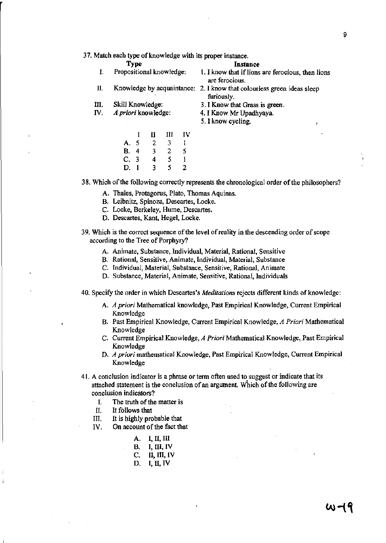### 37. Match each type of knowledge with its proper instance.

- Type Instance<br>Propositional knowledge: 1. I know that if lions I. Propositional knowledge: 1. I know that if lions are ferocious, then lions are ferocious.
- II. Knowledge by acquaintance: 2. I know that colourless green ideas sleep furiously.
- III. Skill Knowledge:
- IV. *A priori* knowledge:
- 3, I Know that Grass is green.
- 4. I Know Mr Upadhyaya.
- 5. I know cycling.

|     | I | П | Ш | ΓV |
|-----|---|---|---|----|
| А.  | 5 | 2 | 3 | L  |
| В.  | 4 | 3 | 2 | 5  |
| C.3 |   | 4 | 5 | 1  |
| D.  |   | 3 | 5 | 2  |

38. Which of the following correctly represents the chronological order of the philosophers?

- A. ThaIes, Protagorus, Plato, Thomas Aquinas.
- B. Leibnitz, Spinoza, Descartes, Locke.
- C. Locke, Berkeley, Hume, Descartes.
- D. Descartes, Kant. Hegel, Locke.
- 39. Which is the correct sequence of the level of reality in the descending order of scope according to the Tree of Porphyry?
	- A. Animate, Substance, Individual, Material, Rational, Sensitive
	- B. Rational, Sensitive, Animate, Individual, Material, Substance
	- C. Individual, Material, Substance, Sensitive, Rational, Animate
	- D. Substance, Material, Animate, Sensitive, Rational, Individuals
- 40. Specify the order in which Descartes's *Meditations* rejects different kinds of knowledge:
	- A. *A priori* Mathematical knowledge, Past Empirical Knowledge, Current Empirical Knowledge
	- 8. Past Empirical Knowledge, Current Empirical Knowledge, *A Priori* Mathematical Knowledge
	- C. Current Empirical Knowledge, *A Priori* Mathematical Knowledge, Past Empirical Knowledge
	- D. *A priori* mathematical Knowledge, Past Empirical Knowledge, Current Empirical Knowledge
- 41. A conclusion indicator is a phrase or term often used to suggest or indicate that its attached statement is the conclusion of an argument. Which of the following are conclusion indicators?
	- I. The truth of the matter is
	- II. It follows that
	- III. It is highly probable that
	- IV. On account of the fact that
		- A. I, II, III
		- $B.$  I, III, IV
		- C. II, III, IV
		- D. I, II, IV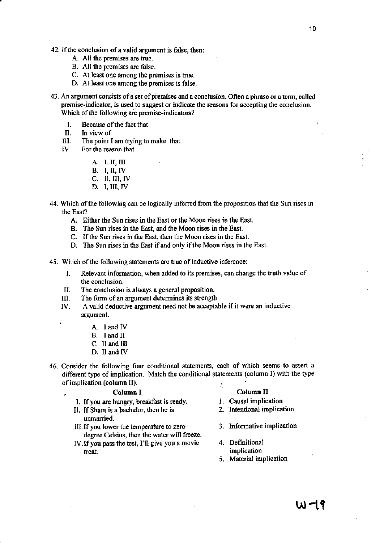- A. All the premises are true.
- B. All the premises are false.
- C. At least one among the premises is true.
- D. At least one among the premises is false.
- 43. An argument consists of a set of premises and a conclusion. Often a phrase or a term, called premise-indicator, is used to suggest or indicate the reasons for accepting the conclusion. Which of the following are premise-indicators?
	- I. Because of the fact that<br>II. In view of
	- II. In view of<br>III. The point l
	- The point I am trying to make that
	- IV. For the reason that
		- A. I. II, III
		- B. J, II, IV
		- C. II, III, IV
		- D. I,II1,IV
- 44. Which of the following can be logically inferred from the proposition that the Sun rises in the East?
	- A. Either the Sun rises in the East or the Moon rises in the East.
	- B. The Sun rises in the East, and the Moon rises in the East.
	- C. If the Sun rises in the East, then the Moon rises in the East.
	- D. The Sun rises in the East if and only if the Moon rises in the East.
- 45. Which of the following statements are true of inductive inference:
	- I. Relevant information, when added to its premises, can change the truth value of the conclusion.
	- II. The conclusion is always a general proposition.
	- III. The fonn of an argument determines its strength.
	- IV. A valid deductive argument need not be acceptable if it were an inductive argument.
		- A. J and IV
		- B. I and II
		- C. II and III
		- D. II and IV
- 46. Consider the following four conditional statements, each of which seems to assert a different type of implication. Match the conditional statements (column I) with the type of implication (column II).

- I. If you are hungry, breakfast is ready. 1. Causal implication<br>II. If Sham is a bachelor, then he is 2. Intentional implication
- II. If Sham is a bachelor, then he is unmarried.
- III. If you lower the temperature to zero 3. Informative implication degree Celsius, then the water will freeze.
- IV. If you pass the test, I'll give you a movie 4. Definitional treat. **implication**

# , **Column I Column II**

- 
- 
- 
- 
- S. Material implication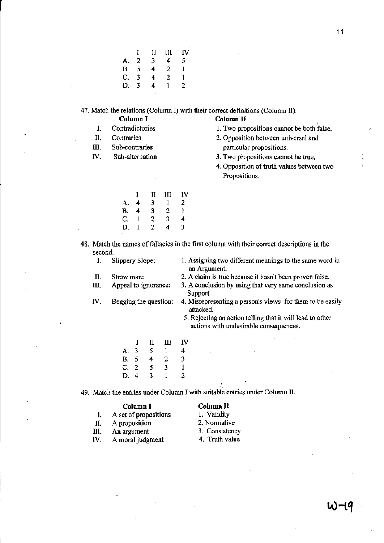|    | L | П | Ш | IV |
|----|---|---|---|----|
| А. | 2 | 3 | 4 | 5  |
| В. | 5 | 4 | 2 | 1  |
| C. | 3 | 4 | 2 | 1  |
| D. | 3 | 4 | 1 | 2  |

47. Match the relations (Column 1) with their correct defmitions (Column II).

**Column I Column II** 

- I. Contradictories
- II. **Contraries**
- III. Sub-contraries
- IV. Sub~alternation

| `olumn II |  |
|-----------|--|
|           |  |

- , 1. Two propositions cannot be both false.
- 2. Opposition between universal and particular propositions.
- 3. Two propositions cannot be true.
- 4. Opposition of truth values between two Propositions.

|    | T | п | Ш | IV |
|----|---|---|---|----|
| А. | 4 | 3 | L | 2  |
| Β. | 4 | 3 | 2 | ŧ  |
| C. | ł | 2 | 3 | 4  |
| D. |   | 2 | 4 | 3  |
|    |   |   |   |    |

48. Match the names of fallacies in the first column with their correct descriptions in the second.<br>I. S

Slippery Slope: 1. Assigning two different meanings to the same word in an Argument.

- 
- 
- II. Straw man: 2. A claim is true because it hasn't been proven false.
- III. Appeal to ignorance: 3. A conclusion by using'that very same conclusion as Support.
- IV. Begging the question: 4. Misrepresenting a person's views for them to be easily attacked.
	- 5. Rejecting an action telling that it will lead to other actions with undesirable consequences.

|      | Ι | П | Ш | IV |
|------|---|---|---|----|
| A. 3 |   | 5 | 1 | 4  |
| B. 5 |   | 4 | 2 | 3  |
| C. 2 |   | 5 | 3 | ı  |
| D. 4 |   | 3 | 1 | 2  |

49. Match the entries under Column I with suitable entries under Column II.

- 1. A set of propositions 1. Validity<br>II. A proposition 2. Normative
- II. A proposition
- III. An argument 3. Consistency<br>IV. A moral iudement 4. Truth value
- IV. A moral judgment

**Column I Column II**<br>et of propositions 1. Validity

- 
- 
-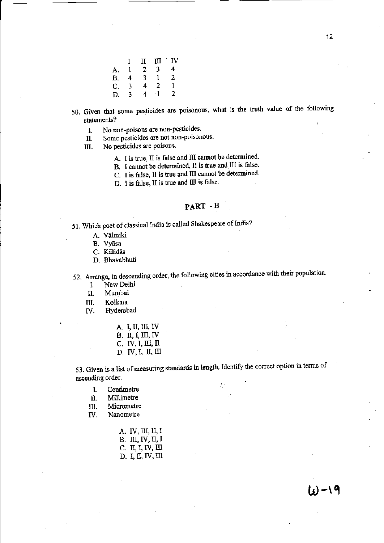|    | I | п | ш         | πv |
|----|---|---|-----------|----|
| А. | ı | 2 | 3         | 4  |
| B. | 4 | 3 | 1         | 2  |
| C. | 3 | 4 | 2         | 1  |
| D. | 3 | 4 | $\cdot$ 1 | 2  |

- 50. Given that some pesticides are poisonous, what is the truth value of the following statements?
	- I. No non-poisons are non-pesticides.
	- II. Some pesticides are not non-poisonous.
	- III. No pesticides are poisons.
		- A. I is true, II is false and III cannot be determined.
		- B. I cannot be determined, II is true and IH is false.
		- C. I is false, II is true and III cannot be determined.

D. I is false, II is true and III is false.

# PART -B

51. Which poet of classical India is called Shakespeare of India?

- A. Vālmiki
- B. Vyasa
- C. Kālidās
- D. Bhavabhuti

52. Arrange, in descending order, the following cities in accordance with their population.

1. New Delhi

II. Mwnbai

Ill. Kolkata

- IV. Hyderabad
	- A. I, II, III, IV B. II, I, III, IV  $C. IV, I, III, II$ D. IV, I, II, III
- 53. Given is a list of measuring standards in length. Identify the correct option in terms of ascending order.
	- 1 Centimetre

II. Millimetre

III. Micrometre

IV. Nanometre

A. IV, III, II, I B. III, IV, II, I C. II, I, IV, III D. I, II, IV, III

 $(i) - 9$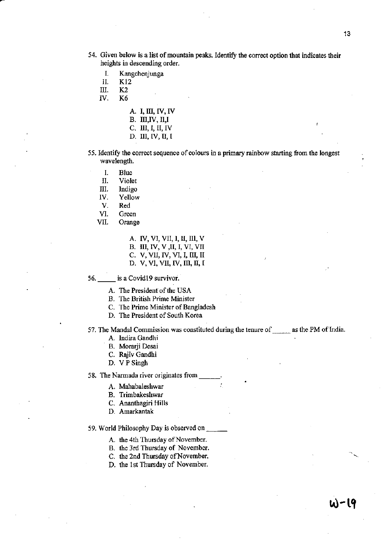- 54. Given below is a list of mountain peaks. Identify the correct option that indicates their heights in descending order.
	- I. Kangchenjunga<br>II. K12

II. K12<br>III. K2

III. K2<br>IV. K6

K<sub>6</sub>

- A. I, III, IV, IV
- $B.$  III, IV, II, I
- C. III, I, II, IV
- D. III, IV, II, I
- 55. Identify the correct sequence of colours in a primary rainbow starting from the longest wavelength.

I. Blue<br>II. Viole

**Violet** 

III. Indigo

IV. Yellow

- V. Red
- 

VI. Green<br>VII. Orange Orange

> A. IV, VI, VII, I, II, Ill, V B. III, IV, V , II, I, VI, VII C. V, VII, IV, VI, I, III, II D. V, VI, VII, IV, III, II, I

56. is a Covid19 survivor.

- A. The President of the USA
- B. The British Prime Minister
- C. The Prime Minister of Bangladesh·
- D. The President of South Korea

57. The Mandal Commission was constituted during the tenure of \_\_\_\_\_\_ as the PM of India.

- A. Indira Gandhi
- B. Morarji Desai
- C. Rajiv Gandhi
- D. VP Singh

58. The Narmada river originates from

- A. Mahabaleshwar
- B. Trimbakeshwar
- C. Ananthagiri HiUs
- D. Amarkantak

### 59. World Philosophy Day is observed on \_

- A. the 4th Thursday of November.
- B. the 3rd Thursday of November.
- c. the 2nd Thursday of November.
- D. the 1st Thursday of November.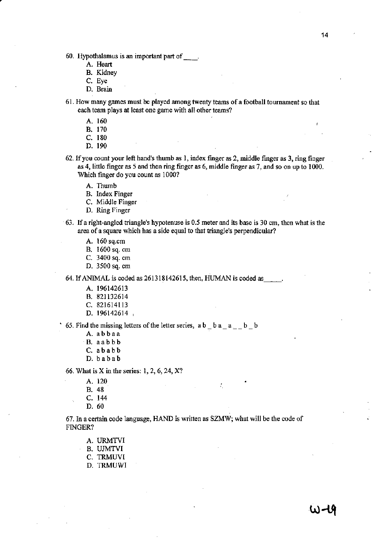- 60. Hypothalamus is an important part of \_\_ .
	- A. Heart
	- B. Kidney
	- C. Eye
	- D. Brain
- 61. How many games must be played among twenty teams of a football tournament so that each team plays at least one game with all other teams?
	- A. 160
	- B. 170
	- C. 180
	- D. 190
- 62. If you count your left band's thumb as I, index fmger as 2, middle fmger as 3, ring finger as 4, little fmger as 5 and then ring fmger as 6, middle finger as 7. and so on up to 1000. Which fmger do you count as 1000?
	- A. Thumb
	- B. Index Finger
	- C. Middle Finger
	- D. Ring Finger
- 63. Ifa rjght~angled triangle's hypotenuse is 0.5 meter and its base is 30 em, then what is the area of a square which has a side equal to that triangle's perpendicular?
	- A. 160 sq.em
	- B. 1600sq.cm
	- C. 3400 sq. em
	- D. 3500 sq. em

64. If ANIMAL is coded as  $261318142615$ , then, HUMAN is coded as  $\qquad \qquad$ .

- A. 196142613
- B. 821132614
- C. 821614113
- D. 196142614

65. Find the missing letters of the letter series,  $a b$   $b a$   $a$   $c$   $b$   $b$ 

- A. abbaa
- B. aabbb
- C. ababb
- D. babab

66. What is X in the series: 1, 2, 6, 24, X?

- A. 120
- B. 48
- C. 144
- D. 60

67. In a certain code language, HAND is written as SZMW; what will be the code of FINGER?

÷.

- A. URMTVI
- B. UJMTVI
- C. TRMUVI
- D. TRMUWI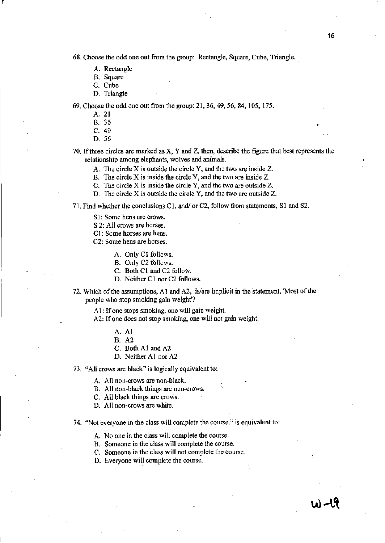68. Choose the odd one out from the group: Rectangle, Square, Cube, Triangle.

- A. Rectangle
- B. Square
- C. Cube

 $\vert$ 

D. Triangle

69. Choose the odd one out from the group: 21, 36, 49, 56, 84, 105, 175.

- A. 21
- B. 36
- C. 49
- D. 56

70. If three circles are marked as X, Y and Z, then, describe the figure that best represents the relationship among elephants, wolves and animals.

- A. The circle X is outside the circle Y. and the two are inside Z.
- B. The circle X is inside the circle Y, and the two are inside Z.
- C. The circle X is inside the circle Y, and the two are outside Z.
- D. The circle X is outside the circle Y, and the two are outside Z.

71, Find whether the conclusions C1, and/ or C2, follow from statements, S1 and S2.

- S1: Some hens are crows.
- S 2: All crows are horses.
- Cl: Some horses are hens.
- C2: Some hens are horses.
	- A. Only Cl follows.
	- B. Only C2 follows.
	- C. Both Cl and C2 follow.
	- D. Neither C1 nor C2 follows.
- 72. Which of the assumptions, Al and A2, is/are implicit in the statement, 'Most of the people who stop smoking gain weight'?

AI: If one stops smoking, one will gain weight.

- A2: If one does not stop smoking, one will not gain weight.
	- A. Al
	- B. A2
	- C. Both Al and A2
	- D. Neither Al nor A2

73. "All crows are black" is logically equivalent to:

A. All non-crows are non-black.

- B. All non-black things are non-crows.
- C. All black things are crows.
- D. All non-crows are white.

74. "Not everyone in the class will complete the course." is equivalent to:

- A. No one in the class will complete the course.
- B. Someone in the class wi1l complete the course.
- C. Someone in the class will not complete the course.
- D. Everyone will complete the course.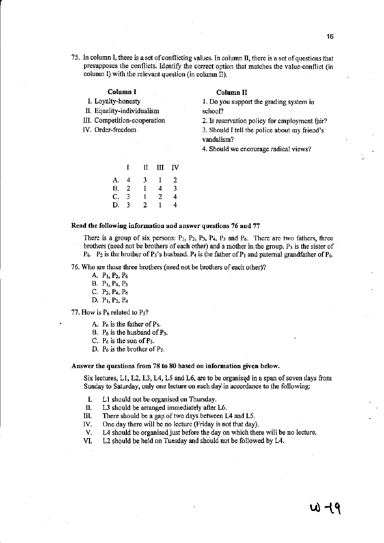75. In column I, there is a set of conflicting values. In column II, there is a set of questions that presupposes the conflicts. Identify the correct option that matches the value-conflict (in column I) with the relevant question (in column II).

# Column I

- I. Loyalty-honesty
- II. Equality-individualism
- III. Competition-cooperation
- IV. Order-freedom

#### Column II

1. Do you support the grading system in school?

2. Is reservation policy for employment fair?

3. Should 1 tell the police about my friend's vandalism?

4. Should we encourage radical views?

|    | Ĭ              | Н | Ш | IV |
|----|----------------|---|---|----|
| A. | 4              | 3 | 1 | 2  |
| В. | $\overline{2}$ | 1 | 4 | 3  |
| C. | 3              | 1 | 2 | 4  |
| D. | 3              | 2 | 1 | 4  |

### Read the following information and answer questions 76 and 77

There is a group of six persons:  $P_1$ ,  $P_2$ ,  $P_3$ ,  $P_4$ ,  $P_5$  and  $P_6$ . There are two fathers, three brothers (need not be brothers of each other) and a mother in the group.  $P_3$  is the sister of  $P_6$ .  $P_2$  is the brother of  $P_5$ 's husband,  $P_4$  is the father of  $P_1$  and paternal grandfather of  $P_6$ ,

76. Who are those three brothers (need not be brothers of each other)?

- A. PI, P2. P6
- B. PI, P4, Ps
- C, P2, P4, P6
- D, PI, *P2,* P4

77. How is P6 related to *Ps?* 

- A.  $P_6$  is the father of  $P_5$ .
- B.  $P_6$  is the husband of  $P_5$ .
- C.  $P_6$  is the son of  $P_5$ .
- D, P6 is the brother of Ps.

#### Answer the questions from 78 to 80 based on information given below.

Six lectures,  $Li$ ,  $L2$ ,  $L3$ ,  $L4$ ,  $L5$  and  $L6$ , are to be organised in a span of seven days from Sunday to Saturday, only one lecture on each day in accordance to the following:

- I. L1 should not be organised on Thursday,
- 11, L3 should be arranged immediately after L6.
- III. There should be a gap of two days between L4 and L5.
- IV. One day there will be no lecture (Friday is not that day).
- V. L4 should be organised just before the day on which there will be no lecture.

VI. L2 should be held on Tuesday and should not be followed by L4.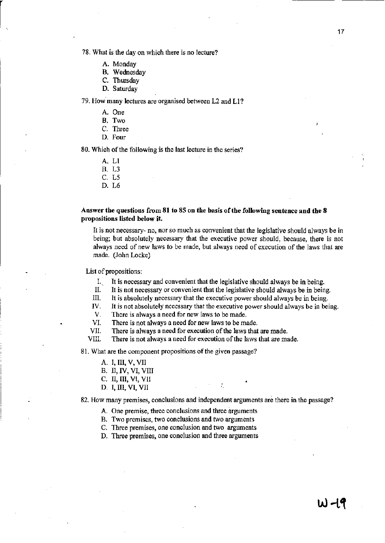78. What is the day on which there is no lecture?

- A. Monday
- B. Wednesday
- C. Thursday
- D. Saturday

79. How many lectures are organised between L2 and L1?

- A. One
- B. Two
- C. Three
- D. Four

&0. Which of the following is the last lecture in the series?

- A. L1
- B. L3
- C. L5
- D. L6

# Answer the questions from 81 to 85 on the basis of the following sentence and the 8 propositions listed below it.

lt is not necessary- no, nor so much as convenient that the legislative should always be in being; but absolutely necessary that the executive power should, because, there is not always need of new laws to be made, but always need of execution of the laws that are made. (John Locke)

List of propositions:

- I. It is necessary and convenient that the legislative should always be in being.
- II. It is not necessary or convenient that the legislative should always be in being.
- Ill. It is absolutely necessary that the executive power should always be in being.
- N. It is not absolutely necessary that the executive power should always be in being.
- V. There is always a need for new laws to be made.
- VI. There is not always a need for new laws to be made.
- VII. There is always a need for execution of the laws that are made.
- VIII. There is not always a need for execution of the laws that are made.

81. What are the component propositions of the given passage?

- A. I, III, V, VII
- B. II, IV, VI, VIII
- C. II, III, VI, VII
- D. I, III, VI, VII

82. How many premises, conclusions and independent arguments are there in the passage?

- A. One premise, three conclusions and three arguments
- B. Two premises, two conclusions and two arguments
- C. Three premises, one conclusion and two arguments
- D. Three premises, one conclusion and three arguments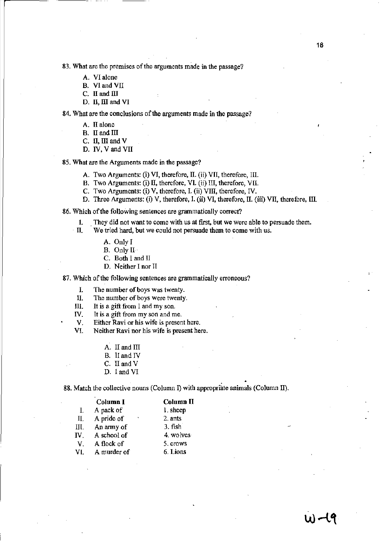83. What are the premises of the arguments made in the passage?

- A. VI alone
- B. VIand VII
- C. II and III
- D. II, III and VI

84. What are the conclusions of the arguments made in the passage?

- A. II alone
- B. II and III
- C. II, III and V
- D. IV, V and VII

85. What are the Arguments made in the passage?

- A. Two Arguments: (i) VI, therefore, II. (ii) VII, therefore, III.
- B. Two Arguments: (i) II, therefore, VI. (ii) III, therefore, VII.
- e. Two Arguments: (i) V, therefore, I. (ii) VIII, therefore, IV.
- D. Three Arguments: (i) V, therefore, I. (ii) VI, therefore, II. (iii) VII, therefore, III.

86. Which of the following sentences are grammatically correct?

- 1. . They did not want to come with us at flrst, but we were able to persuade them.
- n. We tried hard, but we could not persuade them to come with us.
	- A. Only I
	- B. Only II
	- C. Both I and II
	- D. Neither I nor II

87. Which of the following sentences are grammatically erroneous?

1. The number of boys was twenty.

- II. The nwnber of boys were twenty.
- Ill. It is a gift from I and my son.
- IV. It is a gift from my son and me.
- V. Either Ravi or his wife is present here.

VI. Neither Ravi nor his wife is present here.

- A. II and III
- B. II and IV
- C. II and V
- D. I and VI

88. Match the collective nouns (Column I) with appropriate animals (Column II).

|     | Column I    | Column <sub>II</sub> |
|-----|-------------|----------------------|
| L   | A pack of   | 1. sheep             |
| II. | A pride of  | 2. ants              |
| IП. | An army of  | 3. fish              |
| IV. | A school of | 4. wolves            |
| V.  | A flock of  | 5. crows             |
| VI. | A murder of | 6. Lions             |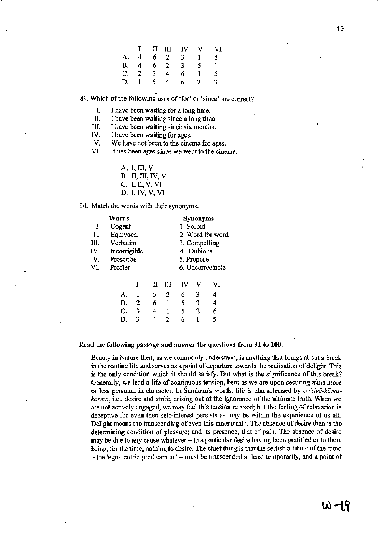|  |        |                | $I$ II III IV V |              | VI |
|--|--------|----------------|-----------------|--------------|----|
|  |        |                | A. 4 6 2 3 1 5  |              |    |
|  |        |                | B. 4 6 2 3 5    |              |    |
|  |        |                | C. 2 3 4 6 1    |              | -5 |
|  | D. 1 5 | $\overline{4}$ | 6.              | $\mathbf{2}$ | 3  |

89. Which of the following uses of 'for' or 'since' are 'correct?

I. I have been waiting for a long time.<br>II. I have been waiting since a long time.

II. I have been waiting since a long time.<br>III. I have been waiting since six months.

I have been waiting since six months.

IV. I have been waiting for ages.

V. We have not been to the cinema for ages.<br>VI. It has been ages since we went to the cine

It has been ages since we went to the cinema.

| A. 1, III, V      |
|-------------------|
| B. II, III, IV, V |
| C. I, II, V, VI   |
| D. I, IV, V, VI   |

90. Match the words with their synonyms.

|      | Words        |   |                  |   |                  | Synonyms |    |
|------|--------------|---|------------------|---|------------------|----------|----|
| I.   | Cogent       |   | 1. Forbid        |   |                  |          |    |
| П.   | Equivocal    |   |                  |   | 2. Word for word |          |    |
| III. | Verbatim     |   |                  |   | 3. Compelling    |          |    |
| IV.  | Incorrigible |   | 4. Dubious       |   |                  |          |    |
| V.   | Proscribe    |   | 5. Propose       |   |                  |          |    |
| VI.  | Proffer      |   | 6. Uncorrectable |   |                  |          |    |
|      |              | ì | П                | Ш | īν               | v        | VI |
|      | А.           |   | 5                | 2 | 6                | 3        | 4  |
|      | В.           | 2 | 6                | 1 | 5                | 3        | 4  |
|      | C.           | 3 | 4                | 1 | 5                | 2        | 6  |
|      | D.           | 3 | 4                | 2 | 6                |          | 5  |
|      |              |   |                  |   |                  |          |    |

Read the following passage and answer the questions from 91 to 100.

Beauty in Nature then, as we commonly understand, is anything that brings about a break in the routine life and serves as a point of departure towards the realisation of delight. This is the only condition which it should satisfy. But what is the significance of this break? Generally, we lead a life of continuous tension, bent as we are upon securing aims more or less personal in character. In Samkara's words, life is characterised by  $\alpha \nu i d\gamma \bar{a}$ -kāma*karma,* i.e., desire and strife, arising out of the ignorance of the ultimate truth. When we are not actively engaged, we may feel this tension relaxed; but the feeling of relaxation is deceptive for even then self-interest persists as may be within the experience of us all. Delight means the transcending of even this inner strain. The absence of desire then is the determining condition of pleasure; and its presence, that of pain. The absence of desire may be due to any cause whatever - to a particular desire having been gratified Or to there being, for the time, nothing to desire. The chief thing is that the selfish attitude of the mind - the 'ego-centric predicament' - must be transcended at least temporarily, and a point of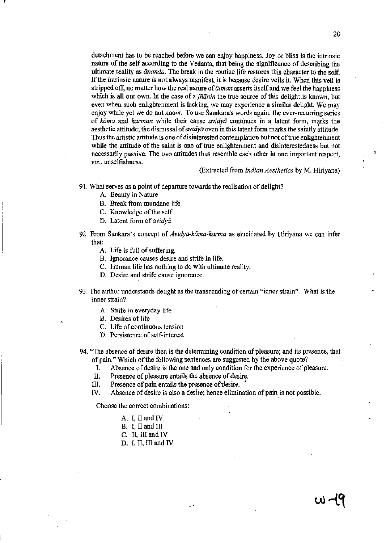detachment has to be reached before we can enjoy happiness. Joy or bliss is the intrinsic nature of the self according to the Vedanta, that being the significance of describing the ultimate reality as *ananda.* The break in the routine life restores this character to the self. If the intrinsic nature is not always manirest, it is because desire veils it When this veil is stripped off, no matter how the real nature of  $\bar{a}$ tman asserts itself and we feel the happiness which is all our own. In the case of a *jñanin* the true source of this delight is known, but even when such enlightenment is lacking, we may experience a similar delight. We may enjoy while yet we do not know. To use Samkara's words again, the ever-recurring series of *kama* and *karman* while their cause *avidya* continues in a latent form, marks the aesthetic attitude; the dismissal of *avidya* even in this latent form marks the saintly attitude. Thus the artistic attitude is one of disinterested contemplation but not of true enlightenment while the attitude of the saint is one of true enlightenment and disinterestedness but not necessarily passive. The two attitudes thus resemble each other in one important respect,

(Extracted from *Indian Aesthetics* by M. Hiriyana)

- 91. What serves as a point of departure towards the realisation of delight?
	- A. Beauty in Nature

*viz.,* unselfishness.

l,

- B. Break from mundane life
- C. Knowledge of the self
- D. Latent form of *avidya*
- 92. From Sankara's concept of *Avidya-kiima-karrna* as elucidated by Hiriyana we can infer that:
	- A. Life is full of suffering.
	- B. Ignorance causes desire and strife in life.
	- C. Human life has nothing to do with ultimate reality.
	- D. Desire and strife cause ignorance.
- 93. The author understands delight as the transcending of certain "inner strain". What is the inner strain?
	- A. Strife in everyday life
	- B. Desires of life
	- C. Life of continuous tension
	- D. Persistence of self-interest
- 94. "The absence of desire then is the detennining condition of pleasure; and its presence, that of pain." Which of the following sentences are suggested by the above quote?

I. Absence of desire is the one and only condition for the experience of pleasure.

- II. Presence of pleasure entails the absence of desire.
- III. Presence of pain entails the presence of:desire. •
- IV. Absence of desire is also a desire; hence elimination of pain is not possible.

Choose the correct combinations:

- A. I, II and IV
- B. I, II and  $III$
- C. II, III and IV
- D. I, II, III and IV

ω નષ